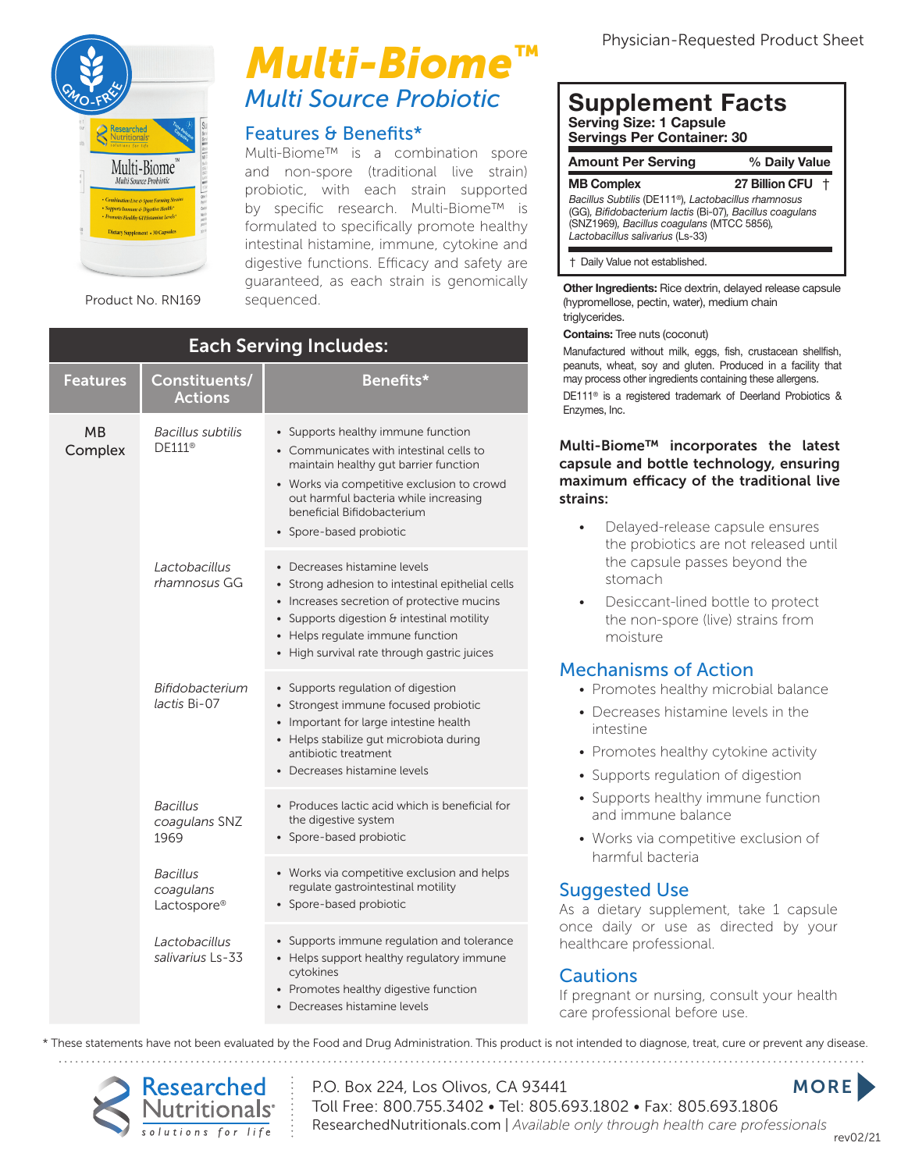

# **Multi Source Probiotic** *Multi-Biome™*

#### Features & Benefits\*

Multi-Biome™ is a combination spore and non-spore (traditional live strain) and non-spore (traditional tive strain)<br>probiotic, with each strain supported<br>by specific research. Multi-Biome™ is by specific research. Multi-Biome™ is formulated to specifically promote healthy intestinal histamine, immune, cytokine and digestive functions. Efficacy and safety are guaranteed, as each strain is genomically<br>sequenced.

| <b>Each Serving Includes:</b> |                                             |                                                                                                                                                                                                                                                                        |  |
|-------------------------------|---------------------------------------------|------------------------------------------------------------------------------------------------------------------------------------------------------------------------------------------------------------------------------------------------------------------------|--|
| <b>Features</b>               | Constituents/<br><b>Actions</b>             | Benefits*                                                                                                                                                                                                                                                              |  |
| <b>MB</b><br>Complex          | Bacillus subtilis<br>DF111 <sup>®</sup>     | • Supports healthy immune function<br>• Communicates with intestinal cells to<br>maintain healthy gut barrier function<br>• Works via competitive exclusion to crowd<br>out harmful bacteria while increasing<br>beneficial Bifidobacterium<br>• Spore-based probiotic |  |
|                               | Lactobacillus<br>rhamnosus GG               | • Decreases histamine levels<br>• Strong adhesion to intestinal epithelial cells<br>• Increases secretion of protective mucins<br>• Supports digestion $\theta$ intestinal motility<br>• Helps regulate immune function<br>• High survival rate through gastric juices |  |
|                               | Bifidobacterium<br>lactis Bi-07             | • Supports regulation of digestion<br>• Strongest immune focused probiotic<br>• Important for large intestine health<br>• Helps stabilize gut microbiota during<br>antibiotic treatment<br>• Decreases histamine levels                                                |  |
|                               | <b>Bacillus</b><br>coagulans SNZ<br>1969    | • Produces lactic acid which is beneficial for<br>the digestive system<br>• Spore-based probiotic                                                                                                                                                                      |  |
|                               | <b>Bacillus</b><br>coagulans<br>Lactospore® | • Works via competitive exclusion and helps<br>regulate gastrointestinal motility<br>• Spore-based probiotic                                                                                                                                                           |  |
|                               | Lactobacillus<br>salivarius Ls-33           | • Supports immune regulation and tolerance<br>• Helps support healthy regulatory immune<br>cytokines<br>• Promotes healthy digestive function<br>• Decreases histamine levels                                                                                          |  |

#### **Supplement Facts Serving Size: 1 Capsule Servings Per Container: 30**

| <b>Amount Per Serving</b>                                                                                                                                                                                      | % Daily Value    |  |
|----------------------------------------------------------------------------------------------------------------------------------------------------------------------------------------------------------------|------------------|--|
| <b>MB Complex</b>                                                                                                                                                                                              | 27 Billion CFU + |  |
| Bacillus Subtilis (DE111 <sup>®</sup> ), Lactobacillus rhamnosus<br>(GG), Bifidobacterium lactis (Bi-07), Bacillus coagulans<br>(SNZ1969), Bacillus coagulans (MTCC 5856),<br>Lactobacillus salivarius (Ls-33) |                  |  |
| † Daily Value not established.                                                                                                                                                                                 |                  |  |

**Other Ingredients:** Rice dextrin, delayed release capsule (hypromellose, pectin, water), medium chain triglycerides.

#### **Contains:** Tree nuts (coconut)

Manufactured without milk, eggs, fish, crustacean shellfish, peanuts, wheat, soy and gluten. Produced in a facility that may process other ingredients containing these allergens. DE111® is a registered trademark of Deerland Probiotics & Enzymes, Inc.

#### Multi-Biome™ incorporates the latest capsule and bottle technology, ensuring maximum efficacy of the traditional live strains:

- Delayed-release capsule ensures the probiotics are not released until the capsule passes beyond the stomach
- Desiccant-lined bottle to protect the non-spore (live) strains from moisture

#### Mechanisms of Action

- Promotes healthy microbial balance
- Decreases histamine levels in the intestine
- Promotes healthy cytokine activity
- Supports regulation of digestion
- Supports healthy immune function and immune balance
- Works via competitive exclusion of harmful bacteria

### Suggested Use

As a dietary supplement, take 1 capsule once daily or use as directed by your healthcare professional.

#### **Cautions**

If pregnant or nursing, consult your health care professional before use.

\* These statements have not been evaluated by the Food and Drug Administration. This product is not intended to diagnose, treat, cure or prevent any disease.



P.O. Box 224, Los Olivos, CA 93441 Toll Free: 800.755.3402 • Tel: 805.693.1802 • Fax: 805.693.1806 ResearchedNutritionals.com | *Available only through health care professionals* rev02/21 **MORE**